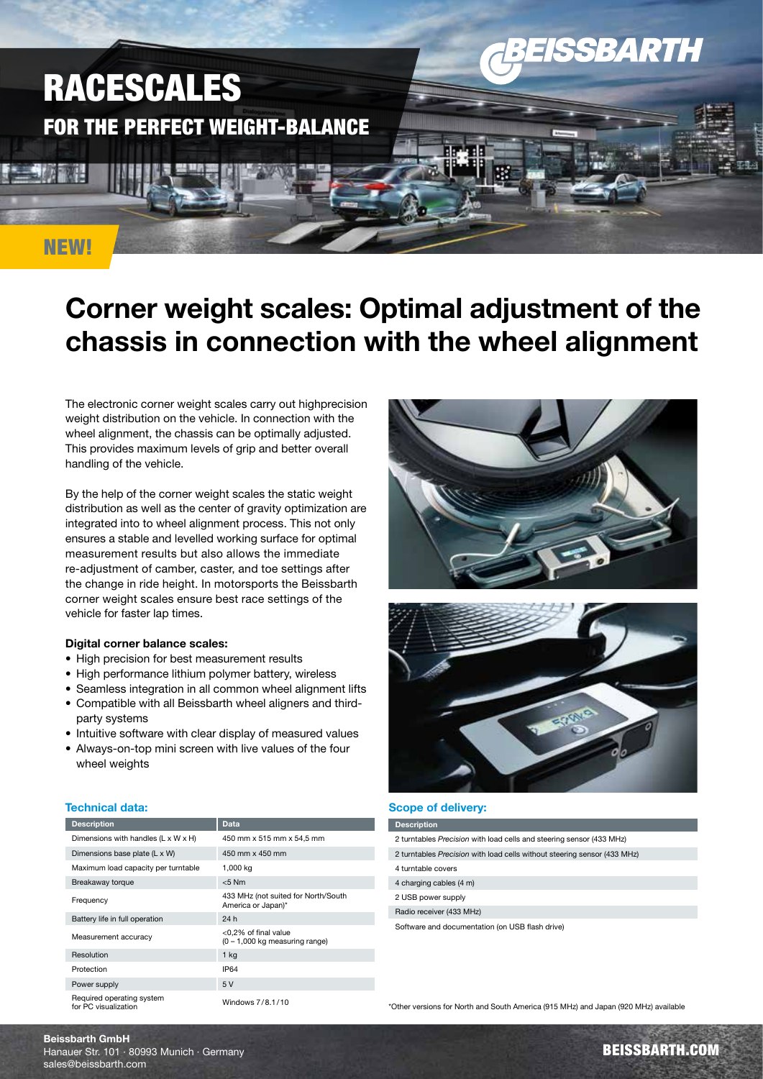

# Corner weight scales: Optimal adjustment of the chassis in connection with the wheel alignment

The electronic corner weight scales carry out highprecision weight distribution on the vehicle. In connection with the wheel alignment, the chassis can be optimally adjusted. This provides maximum levels of grip and better overall handling of the vehicle.

By the help of the corner weight scales the static weight distribution as well as the center of gravity optimization are integrated into to wheel alignment process. This not only ensures a stable and levelled working surface for optimal measurement results but also allows the immediate re-adjustment of camber, caster, and toe settings after the change in ride height. In motorsports the Beissbarth corner weight scales ensure best race settings of the vehicle for faster lap times.

#### Digital corner balance scales:

- High precision for best measurement results
- High performance lithium polymer battery, wireless
- Seamless integration in all common wheel alignment lifts
- Compatible with all Beissbarth wheel aligners and thirdparty systems
- Intuitive software with clear display of measured values
- Always-on-top mini screen with live values of the four wheel weights

## Technical data:

| <b>Description</b>                                | Data                                                             |
|---------------------------------------------------|------------------------------------------------------------------|
| Dimensions with handles $(L \times W \times H)$   | 450 mm x 515 mm x 54,5 mm                                        |
| Dimensions base plate (L x W)                     | 450 mm x 450 mm                                                  |
| Maximum load capacity per turntable               | 1,000 kg                                                         |
| Breakaway torque                                  | $< 5$ Nm                                                         |
| Frequency                                         | 433 MHz (not suited for North/South<br>America or Japan)*        |
| Battery life in full operation                    | 24 h                                                             |
| Measurement accuracy                              | <0,2% of final value<br>$(0 - 1,000 \text{ kg}$ measuring range) |
| Resolution                                        | 1 <sub>kg</sub>                                                  |
| Protection                                        | IP64                                                             |
| Power supply                                      | 5V                                                               |
| Required operating system<br>for PC visualization | Windows 7/8.1/10                                                 |





#### Scope of delivery:

| <b>Description</b>                                                       |  |
|--------------------------------------------------------------------------|--|
| 2 turntables Precision with load cells and steering sensor (433 MHz)     |  |
| 2 turntables Precision with load cells without steering sensor (433 MHz) |  |
| 4 turntable covers                                                       |  |
| 4 charging cables (4 m)                                                  |  |
| 2 USB power supply                                                       |  |
| Radio receiver (433 MHz)                                                 |  |
| Software and documentation (on USB flash drive)                          |  |
|                                                                          |  |
|                                                                          |  |

\*Other versions for North and South America (915 MHz) and Japan (920 MHz) available

BEISSBARTH.COM